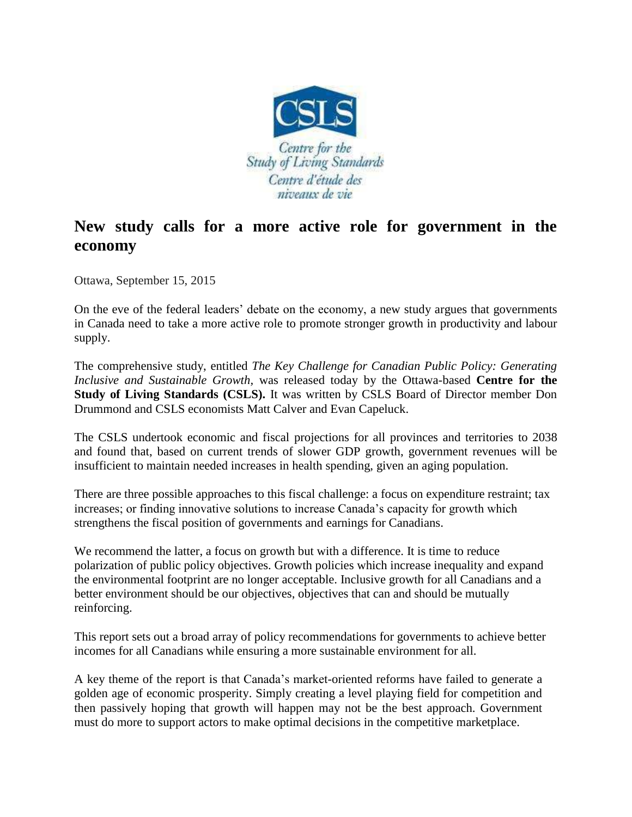

## **New study calls for a more active role for government in the economy**

Ottawa, September 15, 2015

On the eve of the federal leaders' debate on the economy, a new study argues that governments in Canada need to take a more active role to promote stronger growth in productivity and labour supply.

The comprehensive study, entitled *The Key Challenge for Canadian Public Policy: Generating Inclusive and Sustainable Growth,* was released today by the Ottawa-based **Centre for the Study of Living Standards (CSLS).** It was written by CSLS Board of Director member Don Drummond and CSLS economists Matt Calver and Evan Capeluck.

The CSLS undertook economic and fiscal projections for all provinces and territories to 2038 and found that, based on current trends of slower GDP growth, government revenues will be insufficient to maintain needed increases in health spending, given an aging population.

There are three possible approaches to this fiscal challenge: a focus on expenditure restraint; tax increases; or finding innovative solutions to increase Canada's capacity for growth which strengthens the fiscal position of governments and earnings for Canadians.

We recommend the latter, a focus on growth but with a difference. It is time to reduce polarization of public policy objectives. Growth policies which increase inequality and expand the environmental footprint are no longer acceptable. Inclusive growth for all Canadians and a better environment should be our objectives, objectives that can and should be mutually reinforcing.

This report sets out a broad array of policy recommendations for governments to achieve better incomes for all Canadians while ensuring a more sustainable environment for all.

A key theme of the report is that Canada's market-oriented reforms have failed to generate a golden age of economic prosperity. Simply creating a level playing field for competition and then passively hoping that growth will happen may not be the best approach. Government must do more to support actors to make optimal decisions in the competitive marketplace.